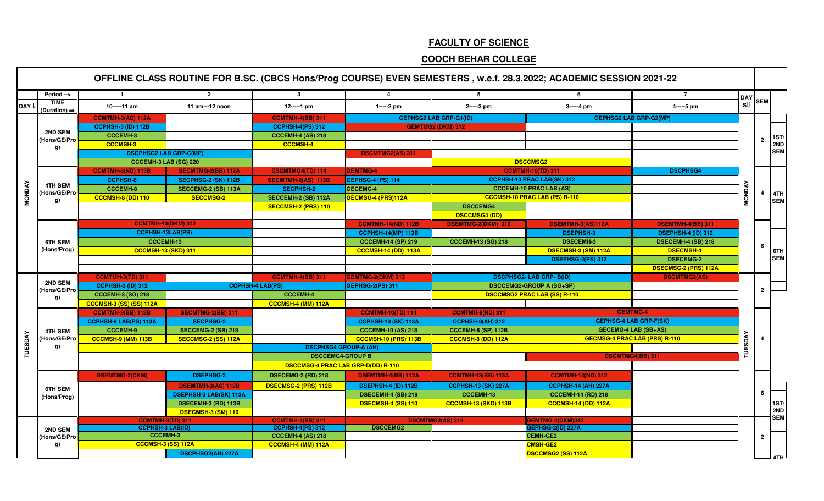## **FACULTY OF SCIENCE**

## **COOCH BEHAR COLLEGE**

|                | Period -->                              | $\overline{1}$                 | $\overline{2}$                | 3                           |                                           |                               |                                      | $\overline{7}$                       | <b>DAY</b>    |                |            |
|----------------|-----------------------------------------|--------------------------------|-------------------------------|-----------------------------|-------------------------------------------|-------------------------------|--------------------------------------|--------------------------------------|---------------|----------------|------------|
| DAY U          | <b>TIME</b><br>(Duration) $\Rightarrow$ | 10-----11 am                   | 11 am---12 noon               | 12-----1 pm                 | $1$ -----2 pm                             | 2-----3 pm                    | 3-----4 pm                           | 4-----5 pm                           | s             | <b>SEM</b>     |            |
|                |                                         | <b>CCMTMH-3(AS) 112A</b>       |                               | <b>CCMTMH-4(BB) 311</b>     |                                           | <b>GEPHSG2 LAB GRP-G1(ID)</b> |                                      | <b>GEPHSG2 LAB GRP-G2(MP)</b>        |               |                |            |
|                |                                         | <b>CCPHSH-3 (ID) 112B</b>      |                               | <b>CCPHSH-4(PS) 312</b>     |                                           | <b>GEMTMG2 (DKM) 312</b>      |                                      |                                      |               |                |            |
|                | 2ND SEM<br>Hons/GE/Pro                  | <b>CCCEMH-3</b>                |                               | <b>CCCEMH-4 (AS) 218</b>    |                                           |                               |                                      |                                      |               | $\overline{2}$ | 1ST/       |
|                | g)                                      | <b>CCCMSH-3</b>                |                               | <b>CCCMSH-4</b>             |                                           |                               |                                      |                                      |               |                | 2ND        |
|                |                                         | <b>DSCPHSG2 LAB GRP-C(MP)</b>  |                               |                             | <b>DSCMTMG2(AS) 311</b>                   |                               |                                      |                                      |               |                | <b>SEM</b> |
|                |                                         | CCCEMH-3 LAB (SG) 220          |                               |                             |                                           |                               | <b>DSCCMSG2</b>                      |                                      |               |                |            |
|                |                                         | <b>CCMTMH-8(ND) 113B</b>       | <b>SECMTMG-2(BB) 112A</b>     | <b>DSCMTMG4(TD) 114</b>     | <b>GEMTMG-4</b>                           |                               | <b>CCMTMH-10(TD) 311</b>             | <b>DSCPHSG4</b>                      |               |                |            |
|                |                                         | <b>CCPHSH-8</b>                | <b>SECPHSG-2 (SK) 112B</b>    | <b>SECMTMH-2(AS) 113B</b>   | <b>GEPHSG-4 (PS) 114</b>                  |                               | CCPHSH-10 PRAC LAB(SK) 312           |                                      |               |                |            |
| <b>MONDAY</b>  | <b>4TH SEM</b><br>Hons/GE/Pro           | <b>CCCEMH-8</b>                | SECCEMG-2 (SB) 113A           | <b>SECPHSH-2</b>            | <b>GECEMG-4</b>                           |                               | <b>CCCEMH-10 PRAC LAB (AS)</b>       |                                      | <b>MONDAY</b> | $\overline{4}$ | 4TH        |
|                | g)                                      | <b>CCCMSH-8 (DD) 110</b>       | <b>SECCMSG-2</b>              | SECCEMH-2 (SB) 112A         | GECMSG-4 (PRS)112A                        |                               | <b>CCCMSH-10 PRAC LAB (PS) R-110</b> |                                      |               |                | <b>SEM</b> |
|                |                                         |                                |                               | SECCMSH-2 (PRS) 110         |                                           | <b>DSCCEMG4</b>               |                                      |                                      |               |                |            |
|                |                                         |                                |                               |                             |                                           | <b>DSCCMSG4 (DD)</b>          |                                      |                                      |               |                |            |
|                |                                         | <b>CCMTMH-13(DKM) 312</b>      |                               |                             | <b>CCMTMH-14(ND) 112B</b>                 | <b>DSEMTMG-2(DKM) 312</b>     | DSEMTMH-3(AS)112A                    | <b>DSEMTMH-4(BB) 311</b>             |               |                |            |
|                |                                         | <b>CCPHSH-13LAB(PS)</b>        |                               |                             | <b>CCPHSH-14(MP) 113B</b>                 |                               | <b>DSEPHSH-3</b>                     | <b>DSEPHSH-4 (ID) 312</b>            |               |                |            |
|                | <b>6TH SEM</b>                          | <b>CCCEMH-13</b>               |                               |                             | <b>CCCEMH-14 (SP) 219</b>                 | <b>CCCEMH-13 (SG) 218</b>     | <b>DSECEMH-3</b>                     | DSECEMH-4 (SB) 218                   |               | 6              |            |
|                | (Hons/Prog)                             | <b>CCCMSH-13 (SKD) 311</b>     |                               |                             | CCCMSH-14 (DD) 113A                       |                               | DSECMSH-3 (SM) 112A                  | <b>DSECMSH-4</b>                     |               |                | 6TH        |
|                |                                         |                                |                               |                             |                                           |                               | DSEPHSG-2(PS) 312                    | <b>DSECEMG-2</b>                     |               |                | <b>SEM</b> |
|                |                                         |                                |                               |                             |                                           |                               |                                      | DSECMSG-2 (PRS) 112A                 |               |                |            |
|                |                                         | <b>CCMTMH-3(TD) 311</b>        |                               | <b>CCMTMH-4(BB) 311</b>     | <b>GEMTMG-2(DKM) 312</b>                  |                               | <b>DSCPHSG2-LAB GRP-B(ID)</b>        | <b>DSCMTMG2(AS)</b>                  |               |                |            |
|                | <b>2ND SEM</b><br>Hons/GE/Pro           | <b>CCPHSH-3 (ID) 312</b>       |                               | <b>CCPHSH-4 LAB(PS)</b>     | GEPHSG-2(PS) 311                          |                               | <b>DSCCEMG2-GROUP A (SG+SP)</b>      |                                      |               | $\overline{2}$ |            |
|                | g)                                      | <b>CCCEMH-3 (SG) 218</b>       |                               | <b>CCCEMH-4</b>             |                                           |                               | <b>DSCCMSG2 PRAC LAB (SS) R-110</b>  |                                      |               |                |            |
|                |                                         | <b>CCCMSH-3 (SS) (SS) 112A</b> |                               | CCCMSH-4 (MM) 112A          |                                           |                               |                                      |                                      |               |                |            |
|                |                                         | <b>CCMTMH-9(BB) 112B</b>       | <b>SECMTMG-2(BB) 311</b>      |                             | <b>CCMTMH-10(TD) 114</b>                  | <b>CCMTMH-8(ND) 311</b>       |                                      | <b>GEMTMG-4</b>                      |               |                |            |
|                |                                         | CCPHSH-9 LAB(PS) 113A          | <b>SECPHSG-2</b>              |                             | <b>CCPHSH-10 (SK) 113A</b>                | <b>CCPHSH-8(AH) 312</b>       |                                      | <b>GEPHSG-4 LAB GRP-F(SK)</b>        |               |                |            |
|                | <b>4TH SEM</b>                          | <b>CCCEMH-9</b>                | <b>SECCEMG-2 (SB) 219</b>     |                             | <b>CCCEMH-10 (AS) 218</b>                 | CCCEMH-8 (SP) 112B            |                                      | <b>GECEMG-4 LAB (SB+AS)</b>          |               |                |            |
|                | Hons/GE/Pro                             | CCCMSH-9 (MM) 113B             | SECCMSG-2 (SS) 112A           |                             | CCCMSH-10 (PRS) 113B                      | <b>CCCMSH-8 (DD) 112A</b>     |                                      | <b>GECMSG-4 PRAC LAB (PRS) R-110</b> |               |                |            |
| <b>TUESDAY</b> | g)                                      |                                |                               |                             | <b>DSCPHSG4 GROUP-A (AH)</b>              |                               |                                      |                                      | TUESDAY       |                |            |
|                |                                         |                                |                               | <b>DSCCEMG4-GROUP B</b>     |                                           |                               |                                      | <b>DSCMTMG4(BB) 311</b>              |               |                |            |
|                |                                         |                                |                               |                             | <b>DSCCMSG-4 PRAC LAB GRP-D(DD) R-110</b> |                               |                                      |                                      |               |                |            |
|                |                                         | <b>DSEMTMG-2(DKM)</b>          | <b>DSEPHSG-2</b>              | <b>DSECEMG-2 (RD) 218</b>   | DSEMTMH-4(BB) 112A                        | <b>CCMTMH-13(BB) 113A</b>     | <b>CCMTMH-14(ND) 312</b>             |                                      |               |                |            |
|                |                                         |                                | <b>DSEMTMH-3(AS) 112B</b>     | <b>DSECMSG-2 (PRS) 112B</b> | DSEPHSH-4 (ID) 112B                       | <b>CCPHSH-13 (SK) 227A</b>    | <b>CCPHSH-14 (AH) 227A</b>           |                                      |               |                |            |
|                | <b>6TH SEM</b><br>(Hons/Prog)           |                                | <b>DSEPHSH-3 LAB(SK) 113A</b> |                             | DSECEMH-4 (SB) 219                        | <b>CCCEMH-13</b>              | <b>CCCEMH-14 (RD) 218</b>            |                                      |               | 6              |            |
|                |                                         |                                | DSECEMH-3 (RD) 113B           |                             | <b>DSECMSH-4 (SS) 110</b>                 | <b>CCCMSH-13 (SKD) 113B</b>   | <b>CCCMSH-14 (DD) 112A</b>           |                                      |               |                | 1ST/       |
|                |                                         |                                | <b>DSECMSH-3 (SM) 110</b>     |                             |                                           |                               |                                      |                                      |               |                | 2ND        |
|                |                                         | <b>CCMTMH-3(TD) 311</b>        |                               | <b>CCMTMH-4(BB) 311</b>     |                                           | <b>DSCMTMG2(AS) 312</b>       | GEMTMG-2(DKM)312                     |                                      |               |                | <b>SEM</b> |
|                | 2ND SEM                                 | <b>CCPHSH-3 LAB(ID)</b>        |                               | <b>CCPHSH-4(PS) 312</b>     | <b>DSCCEMG2</b>                           |                               | GEPHSG-2(ID) 227A                    |                                      |               |                |            |
|                | Hons/GE/Pro                             | <b>CCCEMH-3</b>                |                               | <b>CCCEMH-4 (AS) 218</b>    |                                           |                               | <b>CEMH-GE2</b>                      |                                      |               | $\overline{2}$ |            |
|                | g)                                      | <b>CCCMSH-3 (SS) 112A</b>      |                               | CCCMSH-4 (MM) 112A          |                                           |                               | <b>CMSH-GE2</b>                      |                                      |               |                |            |
|                |                                         |                                | <b>DSCPHSG2(AH) 227A</b>      |                             |                                           |                               | <b>DSCCMSG2 (SS) 112A</b>            |                                      |               |                |            |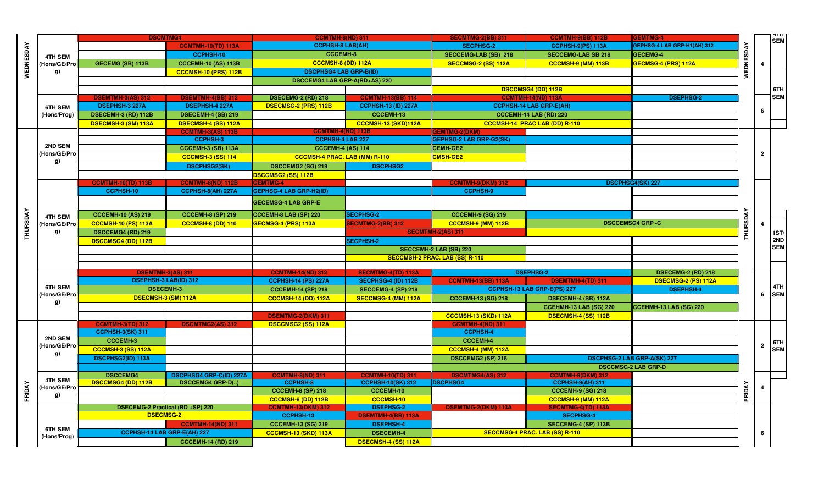|                  |                |                            | <b>DSCMTMG4</b>                  | <b>CCMTMH-8(ND) 311</b>                                |                                      | <b>SECMTMG-2(BB) 311</b>       | <b>CCMTMH-9(BB) 112B</b>                        | <b>GEMTMG-4</b>             |           |                |            |
|------------------|----------------|----------------------------|----------------------------------|--------------------------------------------------------|--------------------------------------|--------------------------------|-------------------------------------------------|-----------------------------|-----------|----------------|------------|
|                  |                |                            | <b>CCMTMH-10(TD) 113A</b>        | <b>CCPHSH-8 LAB(AH)</b>                                |                                      | <b>SECPHSG-2</b>               | CCPHSH-9(PS) 113A                               | GEPHSG-4 LAB GRP-H1(AH) 312 |           |                | <b>SEM</b> |
| <b>WEDNESDAY</b> | <b>4TH SEM</b> |                            | CCPHSH-10                        | <b>CCCEMH-8</b>                                        |                                      | <b>SECCEMG-LAB (SB) 218</b>    | <b>SECCEMG-LAB SB 218</b>                       | GECEMG-4                    | WEDNESDAY |                |            |
|                  | (Hons/GE/Pro   | <b>GECEMG (SB) 113B</b>    | <b>CCCEMH-10 (AS) 113B</b>       | CCCMSH-8 (DD) 112A                                     |                                      | SECCMSG-2 (SS) 112A            | <b>CCCMSH-9 (MM) 113B</b>                       | GECMSG-4 (PRS) 112A         |           |                |            |
|                  | g)             |                            | CCCMSH-10 (PRS) 112B             | <b>DSCPHSG4 LAB GRP-B(ID)</b>                          |                                      |                                |                                                 |                             |           |                |            |
|                  |                |                            |                                  | DSCCEMG4 LAB GRP-A(RD+AS) 220                          |                                      |                                |                                                 |                             |           |                |            |
|                  |                |                            |                                  |                                                        |                                      |                                | <b>DSCCMSG4 (DD) 112B</b>                       |                             |           |                | 6TH        |
|                  |                | <b>DSEMTMH-3(AS) 312</b>   | <b>DSEMTMH-4(BB) 312</b>         | <b>DSECEMG-2 (RD) 218</b>                              | <b>CCMTMH-13(BB) 114</b>             |                                | <b>CCMTMH-14(ND) 113A</b>                       | <b>DSEPHSG-2</b>            |           |                | <b>SEM</b> |
|                  | <b>6TH SEM</b> | <b>DSEPHSH-3 227A</b>      | <b>DSEPHSH-4 227A</b>            | <b>DSECMSG-2 (PRS) 112B</b>                            | <b>CCPHSH-13 (ID) 227A</b>           |                                | <b>CCPHSH-14 LAB GRP-E(AH)</b>                  |                             |           |                |            |
|                  | (Hons/Prog)    | DSECEMH-3 (RD) 112B        | <b>DSECEMH-4 (SB) 219</b>        |                                                        | <b>CCCEMH-13</b>                     |                                | CCCEMH-14 LAB (RD) 220                          |                             |           |                |            |
|                  |                | DSECMSH-3 (SM) 113A        | DSECMSH-4 (SS) 112A              |                                                        | CCCMSH-13 (SKD)112A                  |                                | CCCMSH-14 PRAC LAB (DD) R-110                   |                             |           |                |            |
|                  |                |                            | <b>CCMTMH-3(AS) 113B</b>         | <b>CCMTMH-4(ND) 113B</b>                               |                                      | <b>GEMTMG-2(DKM</b>            |                                                 |                             |           |                |            |
|                  |                |                            | <b>CCPHSH-3</b>                  | <b>CCPHSH-4 LAB 227</b>                                |                                      | GEPHSG-2 LAB GRP-G2(SK)        |                                                 |                             |           |                |            |
|                  | 2ND SEM        |                            | CCCEMH-3 (SB) 113A               | <b>CCCEMH-4 (AS) 114</b>                               |                                      | <b>CEMH-GE2</b>                |                                                 |                             |           |                |            |
|                  | (Hons/GE/Pro   |                            | <b>CCCMSH-3 (SS) 114</b>         | <b>CCCMSH-4 PRAC. LAB (MM) R-110</b>                   |                                      | <b>CMSH-GE2</b>                |                                                 |                             |           | $\overline{2}$ |            |
|                  | g)             |                            | <b>DSCPHSG2(SK)</b>              | DSCCEMG2 (SG) 219                                      | <b>DSCPHSG2</b>                      |                                |                                                 |                             |           |                |            |
|                  |                |                            |                                  | <b>DSCCMSG2 (SS) 112B</b>                              |                                      |                                |                                                 |                             |           |                |            |
|                  |                | <b>CCMTMH-10(TD) 113B</b>  | <b>CCMTMH-8(ND) 112E</b>         | <b>GEMTMG-4</b>                                        |                                      | <b>CCMTMH-9(DKM) 312</b>       |                                                 | <b>DSCPHSG4(SK) 227</b>     |           |                |            |
|                  |                | CCPHSH-10                  | CCPHSH-8(AH) 227A                | <b>GEPHSG-4 LAB GRP-H2(ID)</b>                         |                                      | <b>CCPHSH-9</b>                |                                                 |                             |           |                |            |
|                  |                |                            |                                  |                                                        |                                      |                                |                                                 |                             |           |                |            |
|                  |                |                            |                                  | <b>GECEMSG-4 LAB GRP-E</b>                             |                                      |                                |                                                 |                             |           |                |            |
|                  | <b>4TH SEM</b> | <b>CCCEMH-10 (AS) 219</b>  | <b>CCCEMH-8 (SP) 219</b>         | CCCEMH-8 LAB (SP) 220                                  | <b>SECPHSG-2</b>                     | <b>CCCEMH-9 (SG) 219</b>       |                                                 |                             |           |                |            |
|                  | (Hons/GE/Pro   | <b>CCCMSH-10 (PS) 113A</b> | <b>CCCMSH-8 (DD) 110</b>         | <mark>GECMSG-4 (PRS) 113A</mark>                       | <b>SECMTMG-2(BB) 312</b>             | <b>CCCMSH-9 (MM) 112B</b>      |                                                 | <b>DSCCEMSG4 GRP -C</b>     |           |                |            |
| <b>THURSDAY</b>  | g)             | <b>DSCCEMG4 (RD) 219</b>   |                                  |                                                        |                                      | <b>SECMTMH-2(AS) 311</b>       |                                                 |                             | THURSDAY  |                | 1ST/       |
|                  |                | <b>DSCCMSG4 (DD) 112B</b>  |                                  |                                                        | <b>SECPHSH-2</b>                     |                                |                                                 |                             |           |                | 2ND        |
|                  |                |                            |                                  |                                                        |                                      | <b>SECCEMH-2 LAB (SB) 220</b>  |                                                 |                             |           |                | <b>SEM</b> |
|                  |                |                            |                                  |                                                        |                                      | SECCMSH-2 PRAC. LAB (SS) R-110 |                                                 |                             |           |                |            |
|                  |                |                            |                                  |                                                        |                                      |                                |                                                 |                             |           |                |            |
|                  |                |                            | <b>DSEMTMH-3(AS) 311</b>         | <b>CCMTMH-14(ND) 312</b>                               | <b>SECMTMG-4(TD) 113A</b>            |                                | <b>DSEPHSG-2</b>                                | <b>DSECEMG-2 (RD) 218</b>   |           |                |            |
|                  | <b>6TH SEM</b> |                            | DSEPHSH-3 LAB(ID) 312            | <b>CCPHSH-14 (PS) 227A</b>                             | SECPHSG-4 (ID) 112B                  | <b>CCMTMH-13(BB) 113A</b>      | <b>DSEMTMH-4(TD) 311</b>                        | DSECMSG-2 (PS) 112A         |           |                | 4TH        |
|                  | Hons/GE/Pro    |                            | <b>DSECEMH-3</b>                 | <b>CCCEMH-14 (SP) 218</b>                              | SECCEMG-4 (SP) 218                   |                                | CCPHSH-13 LAB GRP-E(PS) 227                     | <b>DSEPHSH-4</b>            |           | 6              | <b>SEM</b> |
|                  | g)             |                            | DSECMSH-3 (SM) 112A              | <b>CCCMSH-14 (DD) 112A</b>                             | SECCMSG-4 (MM) 112A                  | <b>CCCEMH-13 (SG) 218</b>      | DSECEMH-4 (SB) 112A                             |                             |           |                |            |
|                  |                |                            |                                  |                                                        |                                      |                                | CCEHMH-13 LAB (SG) 220                          | CCEHMH-13 LAB (SG) 220      |           |                |            |
|                  |                |                            |                                  | <b>DSEMTMG-2(DKM) 311</b>                              |                                      | CCCMSH-13 (SKD) 112A           | DSECMSH-4 (SS) 112B                             |                             |           |                |            |
|                  |                | <b>CCMTMH-3(TD) 312</b>    | <b>DSCMTMG2(AS) 312</b>          | <b>DSCCMSG2 (SS) 112A</b>                              |                                      | <b>CCMTMH-4(ND) 311</b>        |                                                 |                             |           |                |            |
|                  | <b>2ND SEM</b> | <b>CCPHSH-3(SK) 311</b>    |                                  |                                                        |                                      | <b>CCPHSH-4</b>                |                                                 |                             |           |                |            |
|                  | (Hons/GE/Pro   | <b>CCCEMH-3</b>            |                                  |                                                        |                                      | <b>CCCEMH-4</b>                |                                                 |                             |           | $\mathbf{2}$   | 6TH<br>SEM |
|                  | g)             | <b>CCCMSH-3 (SS) 112A</b>  |                                  |                                                        |                                      | CCCMSH-4 (MM) 112A             |                                                 |                             |           |                |            |
|                  |                | DSCPHSG2(ID) 113A          |                                  |                                                        |                                      | DSCCEMG2 (SP) 218              |                                                 | DSCPHSG-2 LAB GRP-A(SK) 227 |           |                |            |
|                  |                |                            |                                  |                                                        |                                      |                                |                                                 | <b>DSCCMSG-2 LAB GRP-D</b>  |           |                |            |
|                  | <b>4TH SEM</b> | <b>DSCCEMG4</b>            | <b>DSCPHSG4 GRP-C(ID) 227A</b>   | <b>CCMTMH-8(ND) 311</b>                                | <b>CCMTMH-10(TD) 311</b>             | <b>DSCMTMG4(AS) 312</b>        | <b>CCMTMH-9(DKM) 312</b>                        |                             |           |                |            |
| FRIDAY           | Hons/GE/Pro    | <b>DSCCMSG4 (DD) 112B</b>  | <b>DSCCEMG4 GRP-D()</b>          | <b>CCPHSH-8</b>                                        | <b>CCPHSH-10(SK) 312</b>             | <b>DSCPHSG4</b>                | <b>CCPHSH-9(AH) 311</b>                         |                             | FRIDAY    |                |            |
|                  | g)             |                            |                                  | <b>CCCEMH-8 (SP) 218</b>                               | <b>CCCEMH-10</b>                     |                                | <b>CCCEMH-9 (SG) 218</b>                        |                             |           |                |            |
|                  |                |                            | DSECEMG-2 Practical (RD +SP) 220 | <b>CCCMSH-8 (DD) 112B</b><br><b>CCMTMH-13(DKM) 312</b> | <b>CCCMSH-10</b><br><b>DSEPHSG-2</b> | <b>DSEMTMG-2(DKM) 113A</b>     | CCCMSH-9 (MM) 112A<br><b>SECMTMG-4(TD) 113A</b> |                             |           |                |            |
|                  |                |                            | <b>DSECMSG-2</b>                 | CCPHSH-13                                              | <b>DSEMTMH-4(BB) 113A</b>            |                                | <b>SECPHSG-4</b>                                |                             |           |                |            |
|                  |                |                            | <b>CCMTMH-14(ND) 311</b>         | <b>CCCEMH-13 (SG) 219</b>                              | <b>DSEPHSH-4</b>                     |                                | SECCEMG-4 (SP) 113B                             |                             |           |                |            |
|                  | 6TH SEM        |                            | CCPHSH-14 LAB GRP-E(AH) 227      |                                                        | <b>DSECEMH-4</b>                     |                                | SECCMSG-4 PRAC. LAB (SS) R-110                  |                             |           |                |            |
|                  | (Hons/Prog)    |                            |                                  | CCCMSH-13 (SKD) 113A                                   |                                      |                                |                                                 |                             |           |                |            |
|                  |                |                            | <b>CCCEMH-14 (RD) 219</b>        |                                                        | <b>DSECMSH-4 (SS) 112A</b>           |                                |                                                 |                             |           |                |            |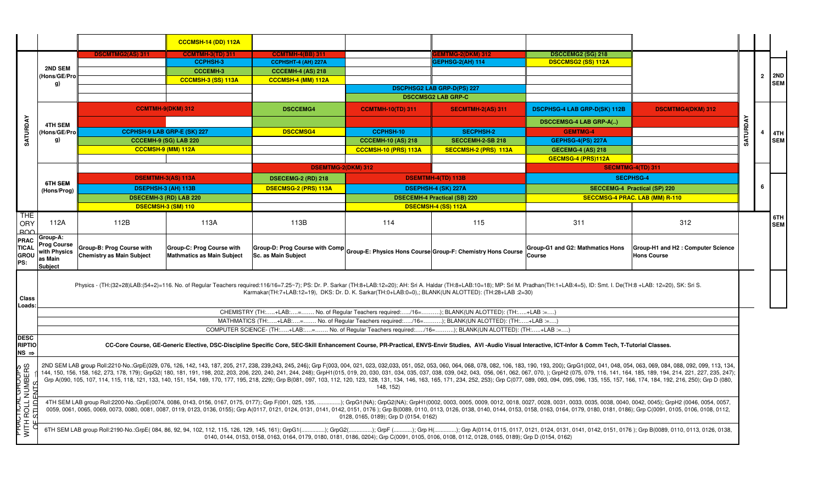|                                                                       |                                |                                  | <b>CCCMSH-14 (DD) 112A</b>        |                                                                                            |                                       |                                                                                                                                              |                                                                                                                                                                                                                                |                                                                                                                                                                                                                                |          |   |            |
|-----------------------------------------------------------------------|--------------------------------|----------------------------------|-----------------------------------|--------------------------------------------------------------------------------------------|---------------------------------------|----------------------------------------------------------------------------------------------------------------------------------------------|--------------------------------------------------------------------------------------------------------------------------------------------------------------------------------------------------------------------------------|--------------------------------------------------------------------------------------------------------------------------------------------------------------------------------------------------------------------------------|----------|---|------------|
|                                                                       |                                | <b>DSCMTMG2(AS) 311</b>          | <b>CCMTMH-3(TD) 311</b>           | <b>CCMTMH-4(BB) 311</b>                                                                    |                                       | <b>EMTMG-2(DKM) 312</b>                                                                                                                      | <b>DSCCEMG2 (SG) 218</b>                                                                                                                                                                                                       |                                                                                                                                                                                                                                |          |   |            |
|                                                                       | 2ND SEM                        |                                  | <b>CCPHSH-3</b>                   | CCPHSHT-4 (AH) 227A                                                                        |                                       | GEPHSG-2(AH) 114                                                                                                                             | <b>DSCCMSG2 (SS) 112A</b>                                                                                                                                                                                                      |                                                                                                                                                                                                                                |          |   |            |
|                                                                       | (Hons/GE/Pro                   |                                  | <b>CCCEMH-3</b>                   | <b>CCCEMH-4 (AS) 218</b>                                                                   |                                       |                                                                                                                                              |                                                                                                                                                                                                                                |                                                                                                                                                                                                                                |          |   | $2$ 2ND    |
|                                                                       | g)                             |                                  | <b>CCCMSH-3 (SS) 113A</b>         | CCCMSH-4 (MM) 112A                                                                         |                                       |                                                                                                                                              |                                                                                                                                                                                                                                |                                                                                                                                                                                                                                |          |   | <b>SEM</b> |
|                                                                       |                                |                                  |                                   |                                                                                            |                                       | <b>DSCPHSG2 LAB GRP-D(PS) 227</b>                                                                                                            |                                                                                                                                                                                                                                |                                                                                                                                                                                                                                |          |   |            |
|                                                                       |                                |                                  |                                   |                                                                                            |                                       | <b>DSCCMSG2 LAB GRP-C</b>                                                                                                                    |                                                                                                                                                                                                                                |                                                                                                                                                                                                                                |          |   |            |
|                                                                       |                                |                                  | <b>CCMTMH-9(DKM) 312</b>          | <b>DSCCEMG4</b>                                                                            | <b>CCMTMH-10(TD) 311</b>              | <b>SECMTMH-2(AS) 311</b>                                                                                                                     | DSCPHSG-4 LAB GRP-D(SK) 112B                                                                                                                                                                                                   | <b>DSCMTMG4(DKM) 312</b>                                                                                                                                                                                                       |          |   |            |
|                                                                       |                                |                                  |                                   |                                                                                            |                                       |                                                                                                                                              |                                                                                                                                                                                                                                |                                                                                                                                                                                                                                |          |   |            |
| SATURDAY                                                              | <b>4TH SEM</b>                 |                                  |                                   |                                                                                            |                                       |                                                                                                                                              | <b>DSCCEMSG-4 LAB GRP-A()</b>                                                                                                                                                                                                  |                                                                                                                                                                                                                                | SATURDAY |   |            |
|                                                                       | Hons/GE/Pro                    | CCPHSH-9 LAB GRP-E (SK) 227      |                                   | <b>DSCCMSG4</b>                                                                            | CCPHSH-10                             | <b>SECPHSH-2</b>                                                                                                                             | <b>GEMTMG-4</b>                                                                                                                                                                                                                |                                                                                                                                                                                                                                |          |   | 4TH        |
|                                                                       | g)                             |                                  | <b>CCCEMH-9 (SG) LAB 220</b>      |                                                                                            | <b>CCCEMH-10 (AS) 218</b>             | SECCEMH-2-SB 218                                                                                                                             | GEPHSG-4(PS) 227A                                                                                                                                                                                                              |                                                                                                                                                                                                                                |          |   | <b>SEM</b> |
|                                                                       |                                | <b>CCCMSH-9 (MM) 112A</b>        |                                   |                                                                                            | CCCMSH-10 (PRS) 113A                  | SECCMSH-2 (PRS) 113A                                                                                                                         | <b>GECEMG-4 (AS) 218</b>                                                                                                                                                                                                       |                                                                                                                                                                                                                                |          |   |            |
|                                                                       |                                |                                  |                                   |                                                                                            |                                       |                                                                                                                                              | GECMSG-4 (PRS)112A                                                                                                                                                                                                             |                                                                                                                                                                                                                                |          |   |            |
|                                                                       |                                |                                  |                                   | <b>DSEMTMG-2(DKM) 312</b>                                                                  |                                       |                                                                                                                                              |                                                                                                                                                                                                                                | <b>SECMTMG-4(TD) 311</b>                                                                                                                                                                                                       |          |   |            |
|                                                                       |                                | <b>DSEMTMH-3(AS) 113A</b>        |                                   | <b>DSECEMG-2 (RD) 218</b>                                                                  |                                       | <b>DSEMTMH-4(TD) 113B</b>                                                                                                                    |                                                                                                                                                                                                                                | <b>SECPHSG-4</b>                                                                                                                                                                                                               |          |   |            |
|                                                                       | <b>6TH SEM</b><br>(Hons/Prog)  |                                  | DSEPHSH-3 (AH) 113B               | <b>DSECMSG-2 (PRS) 113A</b>                                                                |                                       | DSEPHSH-4 (SK) 227A                                                                                                                          |                                                                                                                                                                                                                                | <b>SECCEMG-4 Practical (SP) 220</b>                                                                                                                                                                                            |          | 6 |            |
|                                                                       |                                | <b>DSECEMH-3 (RD) LAB 220</b>    |                                   |                                                                                            |                                       | <b>DSECEMH-4 Practical (SB) 220</b>                                                                                                          |                                                                                                                                                                                                                                | <b>SECCMSG-4 PRAC. LAB (MM) R-110</b>                                                                                                                                                                                          |          |   |            |
|                                                                       |                                | <b>DSECMSH-3 (SM) 110</b>        |                                   |                                                                                            |                                       | DSECMSH-4 (SS) 112A                                                                                                                          |                                                                                                                                                                                                                                |                                                                                                                                                                                                                                |          |   |            |
| THE.                                                                  |                                |                                  |                                   |                                                                                            |                                       |                                                                                                                                              |                                                                                                                                                                                                                                |                                                                                                                                                                                                                                |          |   | 6TH        |
| ORY                                                                   | 112A                           | 112B                             | 113A                              | 113B                                                                                       | 114                                   | 115                                                                                                                                          | 311                                                                                                                                                                                                                            | 312                                                                                                                                                                                                                            |          |   | <b>SEM</b> |
| ROO                                                                   |                                |                                  |                                   |                                                                                            |                                       |                                                                                                                                              |                                                                                                                                                                                                                                |                                                                                                                                                                                                                                |          |   |            |
| <b>PRAC</b>                                                           | Group-A:<br><b>Prog Course</b> |                                  |                                   |                                                                                            |                                       |                                                                                                                                              |                                                                                                                                                                                                                                |                                                                                                                                                                                                                                |          |   |            |
| <b>TICAL</b>                                                          | with Physics                   | <b>Group-B: Prog Course with</b> | Group-C: Prog Course with         | Group-D: Prog Course with Comp Group-E: Physics Hons Course Group-F: Chemistry Hons Course |                                       |                                                                                                                                              | Group-G1 and G2: Mathmatics Hons                                                                                                                                                                                               | Group-H1 and H2: Computer Science                                                                                                                                                                                              |          |   |            |
| <b>GROU</b><br>PS:                                                    | as Main                        | <b>Chemistry as Main Subject</b> | <b>Mathmatics as Main Subject</b> | Sc. as Main Subject                                                                        |                                       |                                                                                                                                              | <b>Course</b>                                                                                                                                                                                                                  | <b>Hons Course</b>                                                                                                                                                                                                             |          |   |            |
|                                                                       | <b>Subject</b>                 |                                  |                                   |                                                                                            |                                       |                                                                                                                                              |                                                                                                                                                                                                                                |                                                                                                                                                                                                                                |          |   |            |
|                                                                       |                                |                                  |                                   |                                                                                            |                                       |                                                                                                                                              |                                                                                                                                                                                                                                |                                                                                                                                                                                                                                |          |   |            |
|                                                                       |                                |                                  |                                   |                                                                                            |                                       |                                                                                                                                              | Physics - (TH:(32+28)LAB:(54+2)=116. No. of Regular Teachers required:116/16=7.25~7); PS: Dr. P. Sarkar (TH:8+LAB:12=20); AH: Sri A. Haldar (TH:8+LAB:10=18); MP: Sri M. Pradhan(TH:1+LAB:4=5), ID: Smt. I. De(TH:8+LAB:12=20) |                                                                                                                                                                                                                                |          |   |            |
| <b>Class</b>                                                          |                                |                                  |                                   |                                                                                            |                                       | Karmakar(TH:7+LAB:12=19), DKS: Dr. D. K. Sarkar(TH:0+LAB:0=0),; BLANK(UN ALOTTED): (TH:28+LAB :2=30)                                         |                                                                                                                                                                                                                                |                                                                                                                                                                                                                                |          |   |            |
| Loads                                                                 |                                |                                  |                                   |                                                                                            |                                       |                                                                                                                                              |                                                                                                                                                                                                                                |                                                                                                                                                                                                                                |          |   |            |
|                                                                       |                                |                                  |                                   |                                                                                            |                                       | CHEMISTRY (TH:+LAB:= No. of Regular Teachers required:/16=); BLANK(UN ALOTTED): (TH:+LAB :=)                                                 |                                                                                                                                                                                                                                |                                                                                                                                                                                                                                |          |   |            |
|                                                                       |                                |                                  |                                   |                                                                                            |                                       | MATHMATICS (TH:+LAB:= No. of Regular Teachers required:/16=); BLANK(UN ALOTTED): (TH:+LAB :=)                                                |                                                                                                                                                                                                                                |                                                                                                                                                                                                                                |          |   |            |
|                                                                       |                                |                                  |                                   |                                                                                            |                                       | COMPUTER SCIENCE- (TH:+LAB:= No. of Regular Teachers required:/16=); BLANK(UN ALOTTED): (TH:+LAB :=)                                         |                                                                                                                                                                                                                                |                                                                                                                                                                                                                                |          |   |            |
| <b>DESC</b>                                                           |                                |                                  |                                   |                                                                                            |                                       |                                                                                                                                              |                                                                                                                                                                                                                                |                                                                                                                                                                                                                                |          |   |            |
| <b>RIPTIO</b>                                                         |                                |                                  |                                   |                                                                                            |                                       |                                                                                                                                              | CC-Core Course, GE-Generic Elective, DSC-Discipline Specific Core, SEC-Skill Enhancement Course, PR-Practical, ENVS-Envir Studies, AVI-Audio Visual Interactive, ICT-Infor & Comm Tech, T-Tutorial Classes.                    |                                                                                                                                                                                                                                |          |   |            |
| $NS \Rightarrow$                                                      |                                |                                  |                                   |                                                                                            |                                       |                                                                                                                                              |                                                                                                                                                                                                                                |                                                                                                                                                                                                                                |          |   |            |
|                                                                       |                                |                                  |                                   |                                                                                            |                                       |                                                                                                                                              |                                                                                                                                                                                                                                | 2ND SEM LAB group Roll:2210-No.:GrpE(029, 076, 126, 142, 187, 205, 217, 238, 239,243, 245, 246); Grp F(003, 004, 021, 023, 032,033, 051, 052, 053, 060, 064, 08, 078, 082, 100, 193, 200); GrpG1(002, 041, 048, 054, 063, 069, |          |   |            |
|                                                                       |                                |                                  |                                   |                                                                                            |                                       |                                                                                                                                              |                                                                                                                                                                                                                                | 144, 150, 156, 158, 162, 273, 178, 179); GrpG2( 180, 181, 191, 198, 202, 203, 206, 220, 203, 206, 220, 240, 241, 244, 248); GrpH1(015, 019, 20, 030, 031, 034, 035, 037, 038, 039, 042, 043, 056, 061, 062, 067, 070, ); GrpH2 |          |   |            |
|                                                                       |                                |                                  |                                   |                                                                                            | 148, 152)                             |                                                                                                                                              | Grp A(090, 105, 107, 114, 115, 118, 121, 133, 140, 151, 149, 151, 154, 169, 170, 177, 195, 218, 229); Grp B(081, 097, 103, 112, 120, 123, 128, 120, 123, 124, 165, 120, 123, 128, 129, 123, 124, 165, 171, 234, 252, 253); Grp |                                                                                                                                                                                                                                |          |   |            |
|                                                                       |                                |                                  |                                   |                                                                                            |                                       |                                                                                                                                              |                                                                                                                                                                                                                                |                                                                                                                                                                                                                                |          |   |            |
|                                                                       |                                |                                  |                                   |                                                                                            |                                       |                                                                                                                                              | 4TH SEM LAB group Roll:2200-No.:GrpE(0074, 0086, 0143, 0156, 0167, 0175, 0177); Grp F(001, 025, 135, ); GrpG1(NA); GrpG2(NA); GrpH1(0002, 0003, 0005, 0009, 0012, 0018, 0027, 0028, 0031, 0033, 0035, 0038, 0                  |                                                                                                                                                                                                                                |          |   |            |
|                                                                       |                                |                                  |                                   |                                                                                            |                                       |                                                                                                                                              | 0059, 0061, 0065, 0069, 0073, 0080, 0081, 0087, 0119, 0123, 0136, 0155); Grp A(0117, 0121, 0121, 0121, 0130, 0131, 0141, 0121, 0121, 0121, 0121, 0121, 0121, 0121, 0121, 0121, 0121, 0121, 0121, 0121, 0124, 0131, 0142, 0151, |                                                                                                                                                                                                                                |          |   |            |
| ראאטדומברא<br>WITH ROLL NUMBERS<br>MITH ROLL NUMBERS<br>- CF STIDENTS |                                |                                  |                                   |                                                                                            | 0128, 0165, 0189); Grp D (0154, 0162) |                                                                                                                                              |                                                                                                                                                                                                                                |                                                                                                                                                                                                                                |          |   |            |
|                                                                       |                                |                                  |                                   |                                                                                            |                                       |                                                                                                                                              | 6TH SEM LAB group Roll:2190-No.:GrpE(084, 86, 92, 94, 102, 112, 115, 126, 129, 145, 161); GrpG1(); GrpC((); GrpC((); GrpC((); Grp A(0114, 0115, 0121, 012, 0131,                                                               |                                                                                                                                                                                                                                |          |   |            |
|                                                                       |                                |                                  |                                   |                                                                                            |                                       | 0140, 0144, 0153, 0158, 0163, 0164, 0179, 0180, 0181, 0186, 0204); Grp C(0091, 0105, 0106, 0108, 0112, 0128, 0165, 0189); Grp D (0154, 0162) |                                                                                                                                                                                                                                |                                                                                                                                                                                                                                |          |   |            |
|                                                                       |                                |                                  |                                   |                                                                                            |                                       |                                                                                                                                              |                                                                                                                                                                                                                                |                                                                                                                                                                                                                                |          |   |            |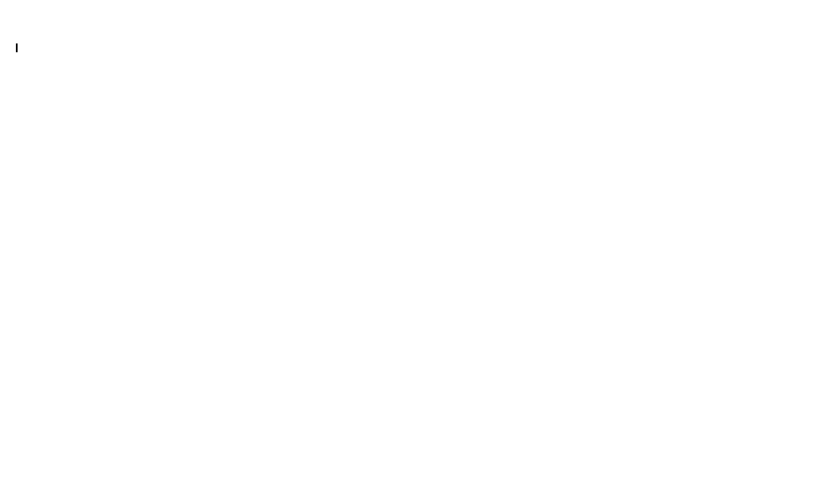$\overline{\phantom{a}}$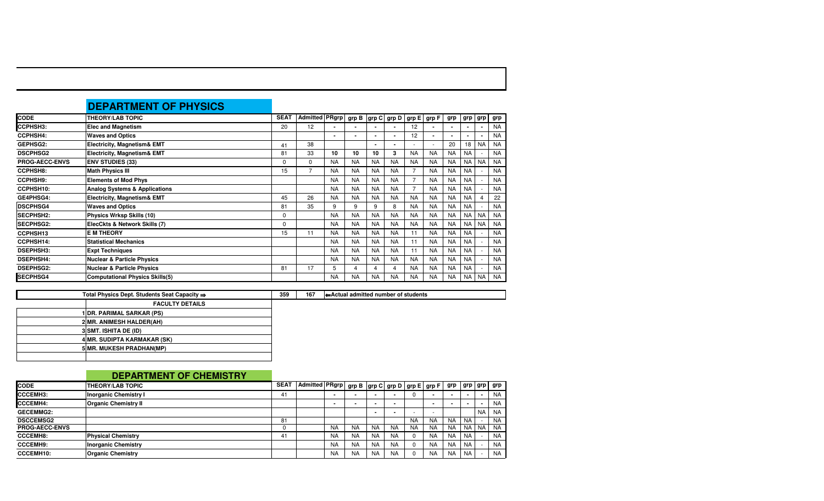|                       | <b>DEPARTMENT OF PHYSICS</b>             |             |                       |           |                |           |                                         |           |           |           |                |           |           |
|-----------------------|------------------------------------------|-------------|-----------------------|-----------|----------------|-----------|-----------------------------------------|-----------|-----------|-----------|----------------|-----------|-----------|
| <b>CODE</b>           | <b>THEORY/LAB TOPIC</b>                  | <b>SEAT</b> | <b>Admitted PRgrp</b> |           |                |           | grp B $ $ grp C $ $ grp D $ $ grp E $ $ |           | grpF      | grp       | grp            | grp       | grp       |
| CCPHSH3:              | <b>Elec and Magnetism</b>                | 20          | 12                    |           |                |           |                                         | 12        |           |           |                |           | <b>NA</b> |
| <b>CCPHSH4:</b>       | <b>Waves and Optics</b>                  |             |                       |           | $\blacksquare$ |           |                                         | 12        |           |           | $\blacksquare$ | ٠         | <b>NA</b> |
| GEPHSG2:              | <b>Electricity, Magnetism&amp; EMT</b>   | 41          | 38                    |           |                |           |                                         |           |           | 20        | 18             | <b>NA</b> | <b>NA</b> |
| <b>DSCPHSG2</b>       | <b>Electricity, Magnetism&amp; EMT</b>   | 81          | 33                    | 10        | 10             | 10        | 3                                       | <b>NA</b> | <b>NA</b> | <b>NA</b> | <b>NA</b>      |           | <b>NA</b> |
| <b>PROG-AECC-ENVS</b> | <b>ENV STUDIES (33)</b>                  | 0           | 0                     | <b>NA</b> | <b>NA</b>      | <b>NA</b> | <b>NA</b>                               | <b>NA</b> | <b>NA</b> | <b>NA</b> | <b>NA</b>      | <b>NA</b> | <b>NA</b> |
| <b>CCPHSH8:</b>       | <b>Math Physics III</b>                  | 15          | 7                     | <b>NA</b> | <b>NA</b>      | <b>NA</b> | <b>NA</b>                               |           | <b>NA</b> | <b>NA</b> | <b>NA</b>      |           | <b>NA</b> |
| CCPHSH9:              | <b>Elements of Mod Phys</b>              |             |                       | <b>NA</b> | <b>NA</b>      | <b>NA</b> | <b>NA</b>                               |           | <b>NA</b> | <b>NA</b> | <b>NA</b>      |           | <b>NA</b> |
| CCPHSH10:             | <b>Analog Systems &amp; Applications</b> |             |                       | <b>NA</b> | <b>NA</b>      | <b>NA</b> | <b>NA</b>                               |           | <b>NA</b> | <b>NA</b> | <b>NA</b>      |           | <b>NA</b> |
| GE4PHSG4:             | <b>Electricity, Magnetism&amp; EMT</b>   | 45          | 26                    | <b>NA</b> | <b>NA</b>      | <b>NA</b> | <b>NA</b>                               | <b>NA</b> | <b>NA</b> | <b>NA</b> | <b>NA</b>      | 4         | 22        |
| <b>DSCPHSG4</b>       | <b>Waves and Optics</b>                  | 81          | 35                    | 9         | 9              | 9         | 8                                       | <b>NA</b> | <b>NA</b> | <b>NA</b> | <b>NA</b>      |           | <b>NA</b> |
| <b>SECPHSH2:</b>      | <b>Physics Wrksp Skills (10)</b>         | 0           |                       | <b>NA</b> | <b>NA</b>      | <b>NA</b> | <b>NA</b>                               | NA        | <b>NA</b> | <b>NA</b> | <b>NA</b>      | <b>NA</b> | <b>NA</b> |
| <b>SECPHSG2:</b>      | ElecCkts & Network Skills (7)            | n           |                       | <b>NA</b> | <b>NA</b>      | <b>NA</b> | <b>NA</b>                               | <b>NA</b> | <b>NA</b> | <b>NA</b> | <b>NA</b>      | <b>NA</b> | <b>NA</b> |
| CCPHSH13              | <b>E M THEORY</b>                        | 15          | 11                    | <b>NA</b> | <b>NA</b>      | <b>NA</b> | <b>NA</b>                               | 11        | <b>NA</b> | <b>NA</b> | <b>NA</b>      |           | <b>NA</b> |
| <b>CCPHSH14:</b>      | <b>Statistical Mechanics</b>             |             |                       | <b>NA</b> | <b>NA</b>      | <b>NA</b> | <b>NA</b>                               | 11        | <b>NA</b> | <b>NA</b> | <b>NA</b>      |           | <b>NA</b> |
| <b>DSEPHSH3:</b>      | <b>Expt Techniques</b>                   |             |                       | <b>NA</b> | <b>NA</b>      | <b>NA</b> | <b>NA</b>                               | 11        | <b>NA</b> | <b>NA</b> | <b>NA</b>      |           | <b>NA</b> |
| <b>DSEPHSH4:</b>      | <b>Nuclear &amp; Particle Physics</b>    |             |                       | <b>NA</b> | <b>NA</b>      | <b>NA</b> | <b>NA</b>                               | <b>NA</b> | <b>NA</b> | <b>NA</b> | <b>NA</b>      |           | <b>NA</b> |
| <b>DSEPHSG2:</b>      | <b>Nuclear &amp; Particle Physics</b>    | 81          | 17                    | 5         | 4              | 4         | 4                                       | <b>NA</b> | <b>NA</b> | <b>NA</b> | <b>NA</b>      |           | <b>NA</b> |
| SECPHSG4              | <b>Computational Physics Skills(5)</b>   |             |                       | <b>NA</b> | <b>NA</b>      | <b>NA</b> | <b>NA</b>                               | <b>NA</b> | <b>NA</b> | <b>NA</b> | <b>NA</b>      | <b>NA</b> | <b>NA</b> |

| Total Physics Dept. Students Seat Capacity $\Rightarrow$ | 359 | 167 | $\leftarrow$ Actual admitted number of students |
|----------------------------------------------------------|-----|-----|-------------------------------------------------|
| <b>FACULTY DETAILS</b>                                   |     |     |                                                 |
| 1 DR. PARIMAL SARKAR (PS)                                |     |     |                                                 |
| 2 MR. ANIMESH HALDER(AH)                                 |     |     |                                                 |
| 3 SMT. ISHITA DE (ID)                                    |     |     |                                                 |
| 4 MR. SUDIPTA KARMAKAR (SK)                              |     |     |                                                 |
| 5 MR. MUKESH PRADHAN(MP)                                 |     |     |                                                 |
|                                                          |     |     |                                                 |

|                       | <b>DEPARTMENT OF CHEMISTRY</b> |             |                                              |           |           |           |           |           |           |           |           |             |           |
|-----------------------|--------------------------------|-------------|----------------------------------------------|-----------|-----------|-----------|-----------|-----------|-----------|-----------|-----------|-------------|-----------|
| <b>CODE</b>           | <b>THEORY/LAB TOPIC</b>        | <b>SEAT</b> | Admitted PRgrp grp B grp C grp D grp E grp F |           |           |           |           |           |           | grp       |           | grp grp grp |           |
| CCCEMH3:              | <b>Inorganic Chemistry I</b>   | 41          |                                              |           |           |           |           |           |           |           |           |             | <b>NA</b> |
| <b>CCCEMH4:</b>       | <b>Organic Chemistry II</b>    |             |                                              |           |           |           |           |           |           |           |           |             | <b>NA</b> |
| <b>GECEMMG2:</b>      |                                |             |                                              |           |           |           |           |           |           |           |           | <b>NA</b>   | <b>NA</b> |
| <b>DSCCEMSG2</b>      |                                | 81          |                                              |           |           |           |           | <b>NA</b> | <b>NA</b> | <b>NA</b> | <b>NA</b> |             | <b>NA</b> |
| <b>PROG-AECC-ENVS</b> |                                |             |                                              | <b>NA</b> | NA        | <b>NA</b> | NA.       | NA.       | <b>NA</b> | <b>NA</b> | <b>NA</b> | NA I        | <b>NA</b> |
| <b>CCCEMH8:</b>       | <b>Physical Chemistry</b>      | 41          |                                              | <b>NA</b> | <b>NA</b> | <b>NA</b> | <b>NA</b> |           | <b>NA</b> | <b>NA</b> | <b>NA</b> |             | <b>NA</b> |
| <b>CCCEMH9:</b>       | <b>Inorganic Chemistry</b>     |             |                                              | <b>NA</b> | <b>NA</b> | <b>NA</b> | <b>NA</b> |           | <b>NA</b> | <b>NA</b> | <b>NA</b> |             | <b>NA</b> |
| <b>CCCEMH10:</b>      | <b>Organic Chemistry</b>       |             |                                              | <b>NA</b> | <b>NA</b> | <b>NA</b> | <b>NA</b> |           | <b>NA</b> | <b>NA</b> | <b>NA</b> |             | <b>NA</b> |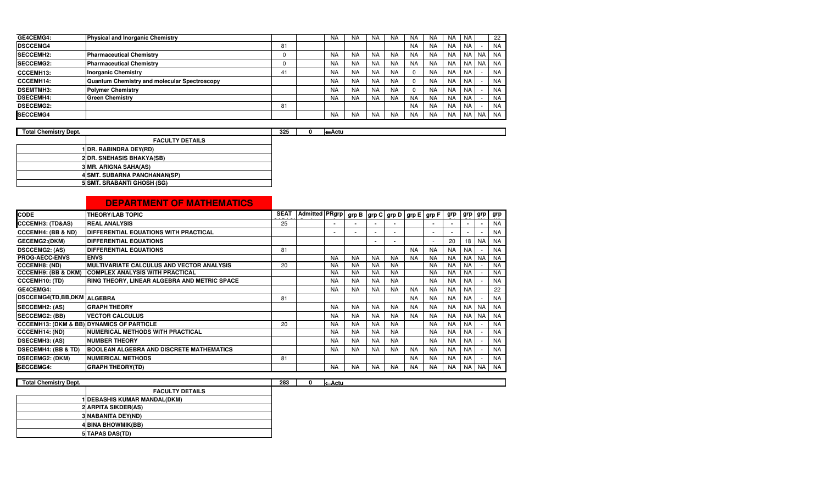| GE4CEMG4:        | <b>Physical and Inorganic Chemistry</b>      |    | <b>NA</b> | <b>NA</b> | <b>NA</b> | <b>NA</b> | NA        | NA        | <b>NA</b> | <b>NA</b> |           | 22        |
|------------------|----------------------------------------------|----|-----------|-----------|-----------|-----------|-----------|-----------|-----------|-----------|-----------|-----------|
| <b>DSCCEMG4</b>  |                                              | 81 |           |           |           |           | <b>NA</b> | <b>NA</b> | <b>NA</b> | <b>NA</b> |           | <b>NA</b> |
| <b>SECCEMH2:</b> | <b>Pharmaceutical Chemistry</b>              |    | <b>NA</b> | <b>NA</b> | <b>NA</b> | <b>NA</b> | <b>NA</b> | <b>NA</b> | <b>NA</b> | <b>NA</b> | <b>NA</b> | <b>NA</b> |
| <b>SECCEMG2:</b> | <b>Pharmaceutical Chemistry</b>              |    | <b>NA</b> | <b>NA</b> | <b>NA</b> | <b>NA</b> | <b>NA</b> | <b>NA</b> | <b>NA</b> | <b>NA</b> | <b>NA</b> | <b>NA</b> |
| <b>CCCEMH13:</b> | <b>Inorganic Chemistry</b>                   | 41 | <b>NA</b> | <b>NA</b> | <b>NA</b> | <b>NA</b> | 0         | <b>NA</b> | <b>NA</b> | <b>NA</b> |           | <b>NA</b> |
| <b>CCCEMH14:</b> | Quantum Chemistry and molecular Spectroscopy |    | <b>NA</b> | <b>NA</b> | <b>NA</b> | <b>NA</b> | 0         | <b>NA</b> | <b>NA</b> | <b>NA</b> |           | <b>NA</b> |
| <b>DSEMTMH3:</b> | <b>Polymer Chemistry</b>                     |    | <b>NA</b> | <b>NA</b> | <b>NA</b> | <b>NA</b> | 0         | <b>NA</b> | <b>NA</b> | <b>NA</b> |           | <b>NA</b> |
| <b>DSECEMH4:</b> | <b>Green Chemistry</b>                       |    | <b>NA</b> | <b>NA</b> | <b>NA</b> | <b>NA</b> | <b>NA</b> | <b>NA</b> | <b>NA</b> | <b>NA</b> |           | <b>NA</b> |
| <b>DSECEMG2:</b> |                                              | 81 |           |           |           |           | <b>NA</b> | <b>NA</b> | <b>NA</b> | <b>NA</b> |           | <b>NA</b> |
| <b>SECCEMG4</b>  |                                              |    | <b>NA</b> | <b>NA</b> | <b>NA</b> | <b>NA</b> | <b>NA</b> | <b>NA</b> | <b>NA</b> | <b>NA</b> | <b>NA</b> | <b>NA</b> |

| <b>Total Chemistry Dept.</b> |                                     | 325 | ←Actu |
|------------------------------|-------------------------------------|-----|-------|
|                              | <b>FACULTY DETAILS</b>              |     |       |
|                              | 1 IDR. RABINDRA DEY(RD)             |     |       |
|                              | <b>2IDR. SNEHASIS BHAKYA(SB)</b>    |     |       |
|                              | 3 MR. ARIGNA SAHA(AS)               |     |       |
|                              | <b>4 SMT. SUBARNA PANCHANAN(SP)</b> |     |       |
|                              | <b>5 SMT, SRABANTI GHOSH (SG)</b>   |     |       |

|                                | <b>DEPARTMENT OF MATHEMATICS</b>                     |             |                        |           |           |                |                                   |           |           |           |           |                |           |
|--------------------------------|------------------------------------------------------|-------------|------------------------|-----------|-----------|----------------|-----------------------------------|-----------|-----------|-----------|-----------|----------------|-----------|
| <b>CODE</b>                    | <b>THEORY/LAB TOPIC</b>                              | <b>SEAT</b> | <b>Admitted PRgrp!</b> |           | grp B     |                | $ $ grp C $ $ grp D $ $ grp E $ $ |           | grp F     | grp       | grp       | grp            | grp       |
| <b>CCCEMH3: (TD&amp;AS)</b>    | <b>REAL ANALYSIS</b>                                 | 25          |                        |           | ۰         |                |                                   |           |           |           |           | $\blacksquare$ | <b>NA</b> |
| <b>CCCEMH4: (BB &amp; ND)</b>  | DIFFERENTIAL EQUATIONS WITH PRACTICAL                |             |                        |           |           |                | -                                 |           |           |           |           |                | <b>NA</b> |
| <b>GECEMG2:(DKM)</b>           | DIFFERENTIAL EQUATIONS                               |             |                        |           |           | $\blacksquare$ |                                   |           |           | 20        | 18        | <b>NA</b>      | NA        |
| <b>DSCCEMG2: (AS)</b>          | <b>DIFFERENTIAL EQUATIONS</b>                        | 81          |                        |           |           |                |                                   | <b>NA</b> | <b>NA</b> | <b>NA</b> | <b>NA</b> |                | <b>NA</b> |
| <b>PROG-AECC-ENVS</b>          | <b>ENVS</b>                                          |             |                        | <b>NA</b> | <b>NA</b> | <b>NA</b>      | <b>NA</b>                         | <b>NA</b> | <b>NA</b> | <b>NA</b> | <b>NA</b> | <b>NA</b>      | <b>NA</b> |
| <b>CCCEMH8: (ND)</b>           | <b>IMULTIVARIATE CALCULUS AND VECTOR ANALYSIS</b>    | 20          |                        | <b>NA</b> | <b>NA</b> | <b>NA</b>      | <b>NA</b>                         |           | <b>NA</b> | <b>NA</b> | <b>NA</b> |                | <b>NA</b> |
| <b>CCCEMH9: (BB &amp; DKM)</b> | <b>COMPLEX ANALYSIS WITH PRACTICAL</b>               |             |                        | <b>NA</b> | <b>NA</b> | <b>NA</b>      | <b>NA</b>                         |           | <b>NA</b> | <b>NA</b> | <b>NA</b> |                | <b>NA</b> |
| <b>CCCEMH10: (TD)</b>          | RING THEORY, LINEAR ALGEBRA AND METRIC SPACE         |             |                        | <b>NA</b> | <b>NA</b> | <b>NA</b>      | <b>NA</b>                         |           | <b>NA</b> | <b>NA</b> | <b>NA</b> |                | <b>NA</b> |
| GE4CEMG4:                      |                                                      |             |                        | <b>NA</b> | <b>NA</b> | <b>NA</b>      | <b>NA</b>                         | <b>NA</b> | <b>NA</b> | <b>NA</b> | <b>NA</b> |                | 22        |
| <b>DSCCEMG4(TD,BB,DKM</b>      | <b>ALGEBRA</b>                                       | 81          |                        |           |           |                |                                   | <b>NA</b> | <b>NA</b> | <b>NA</b> | <b>NA</b> |                | <b>NA</b> |
| <b>SECCEMH2: (AS)</b>          | <b>GRAPH THEORY</b>                                  |             |                        | <b>NA</b> | <b>NA</b> | <b>NA</b>      | <b>NA</b>                         | <b>NA</b> | <b>NA</b> | <b>NA</b> | <b>NA</b> | <b>NA</b>      | <b>NA</b> |
| <b>SECCEMG2: (BB)</b>          | <b>IVECTOR CALCULUS</b>                              |             |                        | <b>NA</b> | <b>NA</b> | <b>NA</b>      | <b>NA</b>                         | <b>NA</b> | <b>NA</b> | <b>NA</b> | <b>NA</b> | <b>NA</b>      | <b>NA</b> |
|                                | <b>CCCEMH13: (DKM &amp; BB) DYNAMICS OF PARTICLE</b> | 20          |                        | <b>NA</b> | <b>NA</b> | <b>NA</b>      | <b>NA</b>                         |           | <b>NA</b> | <b>NA</b> | <b>NA</b> |                | <b>NA</b> |
| <b>CCCEMH14: (ND)</b>          | <b>NUMERICAL METHODS WITH PRACTICAL</b>              |             |                        | <b>NA</b> | <b>NA</b> | <b>NA</b>      | <b>NA</b>                         |           | <b>NA</b> | <b>NA</b> | <b>NA</b> |                | <b>NA</b> |
| <b>DSECEMH3: (AS)</b>          | <b>NUMBER THEORY</b>                                 |             |                        | <b>NA</b> | <b>NA</b> | <b>NA</b>      | <b>NA</b>                         |           | <b>NA</b> | <b>NA</b> | <b>NA</b> |                | <b>NA</b> |
| <b>DSECEMH4: (BB &amp; TD)</b> | <b>BOOLEAN ALGEBRA AND DISCRETE MATHEMATICS</b>      |             |                        | <b>NA</b> | <b>NA</b> | <b>NA</b>      | <b>NA</b>                         | <b>NA</b> | <b>NA</b> | <b>NA</b> | <b>NA</b> |                | <b>NA</b> |
| <b>DSECEMG2: (DKM)</b>         | <b>NUMERICAL METHODS</b>                             | 81          |                        |           |           |                |                                   | <b>NA</b> | <b>NA</b> | <b>NA</b> | <b>NA</b> |                | <b>NA</b> |
| <b>SECCEMG4:</b>               | <b>GRAPH THEORY(TD)</b>                              |             |                        | <b>NA</b> | NA.       | <b>NA</b>      | <b>NA</b>                         | NA        | NA        | NA        | NA.       | NA             | <b>NA</b> |

| <b>Total Chemistry Dept.</b> |                               | 283 | u | l⇔Actu |
|------------------------------|-------------------------------|-----|---|--------|
|                              | <b>FACULTY DETAILS</b>        |     |   |        |
|                              | 1  DEBASHIS KUMAR MANDAL(DKM) |     |   |        |
|                              | <b>2 ARPITA SIKDER(AS)</b>    |     |   |        |
|                              | <b>3 NABANITA DEY(ND)</b>     |     |   |        |
|                              | 4 BINA BHOWMIK(BB)            |     |   |        |
|                              | 5 TAPAS DAS(TD)               |     |   |        |
|                              |                               |     |   |        |